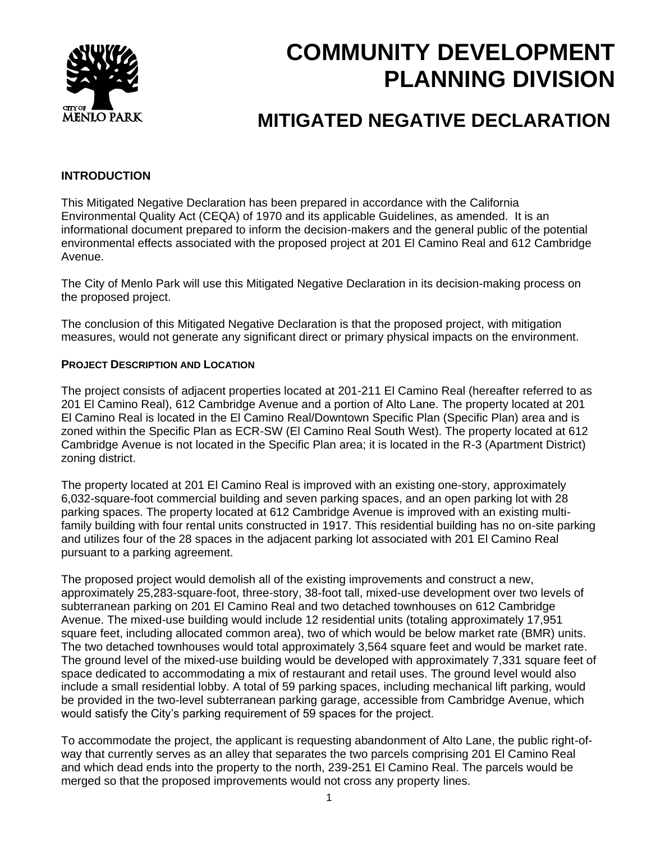

# **COMMUNITY DEVELOPMENT PLANNING DIVISION**

## **MITIGATED NEGATIVE DECLARATION**

### **INTRODUCTION**

This Mitigated Negative Declaration has been prepared in accordance with the California Environmental Quality Act (CEQA) of 1970 and its applicable Guidelines, as amended. It is an informational document prepared to inform the decision-makers and the general public of the potential environmental effects associated with the proposed project at 201 El Camino Real and 612 Cambridge Avenue.

The City of Menlo Park will use this Mitigated Negative Declaration in its decision-making process on the proposed project.

The conclusion of this Mitigated Negative Declaration is that the proposed project, with mitigation measures, would not generate any significant direct or primary physical impacts on the environment.

#### **PROJECT DESCRIPTION AND LOCATION**

The project consists of adjacent properties located at 201-211 El Camino Real (hereafter referred to as 201 El Camino Real), 612 Cambridge Avenue and a portion of Alto Lane. The property located at 201 El Camino Real is located in the El Camino Real/Downtown Specific Plan (Specific Plan) area and is zoned within the Specific Plan as ECR-SW (El Camino Real South West). The property located at 612 Cambridge Avenue is not located in the Specific Plan area; it is located in the R-3 (Apartment District) zoning district.

The property located at 201 El Camino Real is improved with an existing one-story, approximately 6,032-square-foot commercial building and seven parking spaces, and an open parking lot with 28 parking spaces. The property located at 612 Cambridge Avenue is improved with an existing multifamily building with four rental units constructed in 1917. This residential building has no on-site parking and utilizes four of the 28 spaces in the adjacent parking lot associated with 201 El Camino Real pursuant to a parking agreement.

The proposed project would demolish all of the existing improvements and construct a new, approximately 25,283-square-foot, three-story, 38-foot tall, mixed-use development over two levels of subterranean parking on 201 El Camino Real and two detached townhouses on 612 Cambridge Avenue. The mixed-use building would include 12 residential units (totaling approximately 17,951 square feet, including allocated common area), two of which would be below market rate (BMR) units. The two detached townhouses would total approximately 3,564 square feet and would be market rate. The ground level of the mixed-use building would be developed with approximately 7,331 square feet of space dedicated to accommodating a mix of restaurant and retail uses. The ground level would also include a small residential lobby. A total of 59 parking spaces, including mechanical lift parking, would be provided in the two-level subterranean parking garage, accessible from Cambridge Avenue, which would satisfy the City's parking requirement of 59 spaces for the project.

To accommodate the project, the applicant is requesting abandonment of Alto Lane, the public right-ofway that currently serves as an alley that separates the two parcels comprising 201 El Camino Real and which dead ends into the property to the north, 239-251 El Camino Real. The parcels would be merged so that the proposed improvements would not cross any property lines.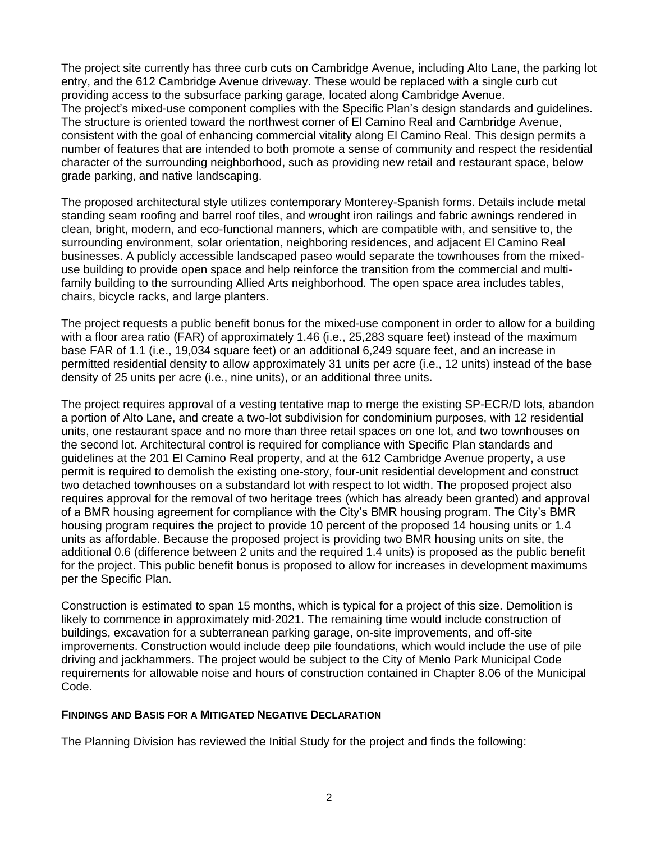The project site currently has three curb cuts on Cambridge Avenue, including Alto Lane, the parking lot entry, and the 612 Cambridge Avenue driveway. These would be replaced with a single curb cut providing access to the subsurface parking garage, located along Cambridge Avenue. The project's mixed-use component complies with the Specific Plan's design standards and guidelines. The structure is oriented toward the northwest corner of El Camino Real and Cambridge Avenue, consistent with the goal of enhancing commercial vitality along El Camino Real. This design permits a number of features that are intended to both promote a sense of community and respect the residential character of the surrounding neighborhood, such as providing new retail and restaurant space, below grade parking, and native landscaping.

The proposed architectural style utilizes contemporary Monterey-Spanish forms. Details include metal standing seam roofing and barrel roof tiles, and wrought iron railings and fabric awnings rendered in clean, bright, modern, and eco-functional manners, which are compatible with, and sensitive to, the surrounding environment, solar orientation, neighboring residences, and adjacent El Camino Real businesses. A publicly accessible landscaped paseo would separate the townhouses from the mixeduse building to provide open space and help reinforce the transition from the commercial and multifamily building to the surrounding Allied Arts neighborhood. The open space area includes tables, chairs, bicycle racks, and large planters.

The project requests a public benefit bonus for the mixed-use component in order to allow for a building with a floor area ratio (FAR) of approximately 1.46 (i.e., 25,283 square feet) instead of the maximum base FAR of 1.1 (i.e., 19,034 square feet) or an additional 6,249 square feet, and an increase in permitted residential density to allow approximately 31 units per acre (i.e., 12 units) instead of the base density of 25 units per acre (i.e., nine units), or an additional three units.

The project requires approval of a vesting tentative map to merge the existing SP-ECR/D lots, abandon a portion of Alto Lane, and create a two-lot subdivision for condominium purposes, with 12 residential units, one restaurant space and no more than three retail spaces on one lot, and two townhouses on the second lot. Architectural control is required for compliance with Specific Plan standards and guidelines at the 201 El Camino Real property, and at the 612 Cambridge Avenue property, a use permit is required to demolish the existing one-story, four-unit residential development and construct two detached townhouses on a substandard lot with respect to lot width. The proposed project also requires approval for the removal of two heritage trees (which has already been granted) and approval of a BMR housing agreement for compliance with the City's BMR housing program. The City's BMR housing program requires the project to provide 10 percent of the proposed 14 housing units or 1.4 units as affordable. Because the proposed project is providing two BMR housing units on site, the additional 0.6 (difference between 2 units and the required 1.4 units) is proposed as the public benefit for the project. This public benefit bonus is proposed to allow for increases in development maximums per the Specific Plan.

Construction is estimated to span 15 months, which is typical for a project of this size. Demolition is likely to commence in approximately mid-2021. The remaining time would include construction of buildings, excavation for a subterranean parking garage, on-site improvements, and off-site improvements. Construction would include deep pile foundations, which would include the use of pile driving and jackhammers. The project would be subject to the City of Menlo Park Municipal Code requirements for allowable noise and hours of construction contained in Chapter 8.06 of the Municipal Code.

#### **FINDINGS AND BASIS FOR A MITIGATED NEGATIVE DECLARATION**

The Planning Division has reviewed the Initial Study for the project and finds the following: